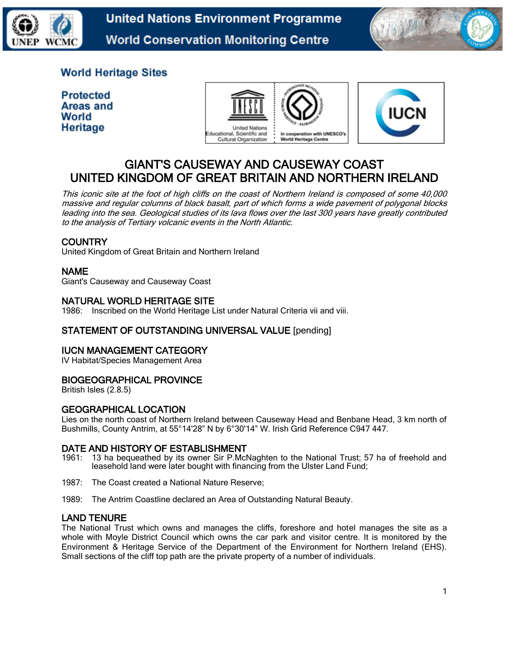

**United Nations Environment Programme World Conservation Monitoring Centre** 



# **World Heritage Sites**

**Protected Areas and** World Heritage





# GIANT'S CAUSEWAY AND CAUSEWAY COAST UNITED KINGDOM OF GREAT BRITAIN AND NORTHERN IRELAND

This iconic site at the foot of high cliffs on the coast of Northern Ireland is composed of some 40,000 massive and regular columns of black basalt, part of which forms a wide pavement of polygonal blocks leading into the sea. Geological studies of its lava flows over the last 300 years have greatly contributed to the analysis of Tertiary volcanic events in the North Atlantic.

# **COUNTRY**

United Kingdom of Great Britain and Northern Ireland

# NAME

Giant's Causeway and Causeway Coast

# NATURAL WORLD HERITAGE SITE

1986: Inscribed on the World Heritage List under Natural Criteria vii and viii.

## STATEMENT OF OUTSTANDING UNIVERSAL VALUE [pending]

## IUCN MANAGEMENT CATEGORY

IV Habitat/Species Management Area

# BIOGEOGRAPHICAL PROVINCE

British Isles (2.8.5)

# GEOGRAPHICAL LOCATION

Lies on the north coast of Northern Ireland between Causeway Head and Benbane Head, 3 km north of Bushmills, County Antrim, at 55°14'28" N by 6°30'14" W. Irish Grid Reference C947 447.

## DATE AND HISTORY OF ESTABLISHMENT

- 1961: 13 ha bequeathed by its owner Sir P.McNaghten to the National Trust; 57 ha of freehold and leasehold land were later bought with financing from the Ulster Land Fund;
- 1987: The Coast created a National Nature Reserve;
- 1989: The Antrim Coastline declared an Area of Outstanding Natural Beauty.

## LAND TENURE

The National Trust which owns and manages the cliffs, foreshore and hotel manages the site as a whole with Moyle District Council which owns the car park and visitor centre. It is monitored by the Environment & Heritage Service of the Department of the Environment for Northern Ireland (EHS). Small sections of the cliff top path are the private property of a number of individuals.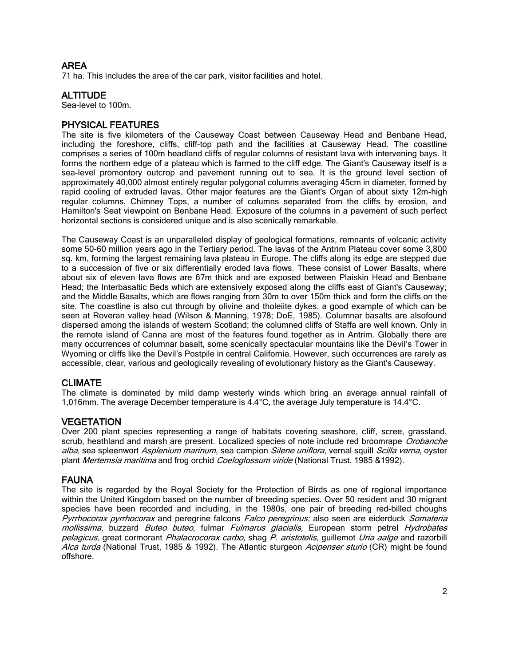# AREA

71 ha. This includes the area of the car park, visitor facilities and hotel.

# ALTITUDE

Sea-level to 100m.

## PHYSICAL FEATURES

The site is five kilometers of the Causeway Coast between Causeway Head and Benbane Head, including the foreshore, cliffs, cliff-top path and the facilities at Causeway Head. The coastline comprises a series of 100m headland cliffs of regular columns of resistant lava with intervening bays. It forms the northern edge of a plateau which is farmed to the cliff edge. The Giant's Causeway itself is a sea-level promontory outcrop and pavement running out to sea. It is the ground level section of approximately 40,000 almost entirely regular polygonal columns averaging 45cm in diameter, formed by rapid cooling of extruded lavas. Other major features are the Giant's Organ of about sixty 12m-high regular columns, Chimney Tops, a number of columns separated from the cliffs by erosion, and Hamilton's Seat viewpoint on Benbane Head. Exposure of the columns in a pavement of such perfect horizontal sections is considered unique and is also scenically remarkable.

The Causeway Coast is an unparalleled display of geological formations, remnants of volcanic activity some 50-60 million years ago in the Tertiary period. The lavas of the Antrim Plateau cover some 3,800 sq. km, forming the largest remaining lava plateau in Europe. The cliffs along its edge are stepped due to a succession of five or six differentially eroded lava flows. These consist of Lower Basalts, where about six of eleven lava flows are 67m thick and are exposed between Plaiskin Head and Benbane Head; the Interbasaltic Beds which are extensively exposed along the cliffs east of Giant's Causeway; and the Middle Basalts, which are flows ranging from 30m to over 150m thick and form the cliffs on the site. The coastline is also cut through by olivine and tholeiite dykes, a good example of which can be seen at Roveran valley head (Wilson & Manning, 1978; DoE, 1985). Columnar basalts are alsofound dispersed among the islands of western Scotland; the columned cliffs of Staffa are well known. Only in the remote island of Canna are most of the features found together as in Antrim. Globally there are many occurrences of columnar basalt, some scenically spectacular mountains like the Devil's Tower in Wyoming or cliffs like the Devil's Postpile in central California. However, such occurrences are rarely as accessible, clear, various and geologically revealing of evolutionary history as the Giant's Causeway.

# CLIMATE

The climate is dominated by mild damp westerly winds which bring an average annual rainfall of 1,016mm. The average December temperature is 4.4°C, the average July temperature is 14.4°C.

# **VEGETATION**

Over 200 plant species representing a range of habitats covering seashore, cliff, scree, grassland, scrub, heathland and marsh are present. Localized species of note include red broomrape Orobanche alba, sea spleenwort Asplenium marinum, sea campion Silene uniflora, vernal squill Scilla verna, oyster plant Mertemsia maritima and frog orchid Coeloglossum viride (National Trust, 1985 & 1992).

## FAUNA

The site is regarded by the Royal Society for the Protection of Birds as one of regional importance within the United Kingdom based on the number of breeding species. Over 50 resident and 30 migrant species have been recorded and including, in the 1980s, one pair of breeding red-billed choughs Pyrrhocorax pyrrhocorax and peregrine falcons Falco peregrinus; also seen are eiderduck Somateria *mollissima*, buzzard *Buteo buteo*, fulmar *Fulmarus glacialis,* European storm petrel *Hydrobates* pelagicus, great cormorant Phalacrocorax carbo, shag P. aristotelis, guillemot Uria aalge and razorbill Alca turda (National Trust, 1985 & 1992). The Atlantic sturgeon Acipenser sturio (CR) might be found offshore.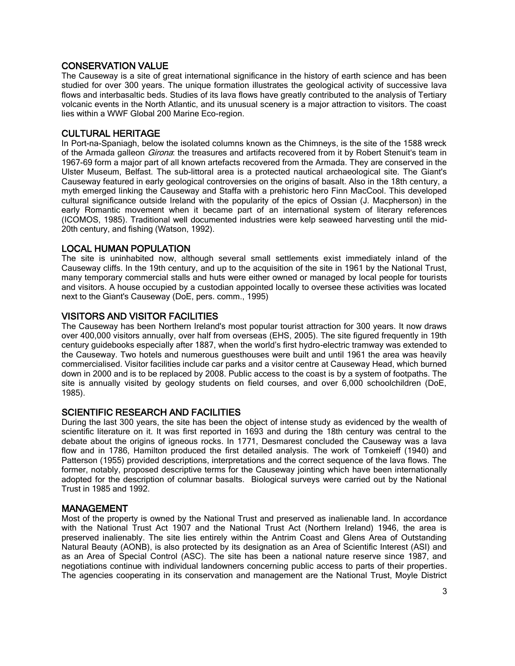# CONSERVATION VALUE

The Causeway is a site of great international significance in the history of earth science and has been studied for over 300 years. The unique formation illustrates the geological activity of successive lava flows and interbasaltic beds. Studies of its lava flows have greatly contributed to the analysis of Tertiary volcanic events in the North Atlantic, and its unusual scenery is a major attraction to visitors. The coast lies within a WWF Global 200 Marine Eco-region.

## CULTURAL HERITAGE

In Port-na-Spaniagh, below the isolated columns known as the Chimneys, is the site of the 1588 wreck of the Armada galleon *Girona*: the treasures and artifacts recovered from it by Robert Stenuit's team in 1967-69 form a major part of all known artefacts recovered from the Armada. They are conserved in the Ulster Museum, Belfast. The sub-littoral area is a protected nautical archaeological site. The Giant's Causeway featured in early geological controversies on the origins of basalt. Also in the 18th century, a myth emerged linking the Causeway and Staffa with a prehistoric hero Finn MacCool. This developed cultural significance outside Ireland with the popularity of the epics of Ossian (J. Macpherson) in the early Romantic movement when it became part of an international system of literary references (ICOMOS, 1985). Traditional well documented industries were kelp seaweed harvesting until the mid-20th century, and fishing (Watson, 1992).

# LOCAL HUMAN POPULATION

The site is uninhabited now, although several small settlements exist immediately inland of the Causeway cliffs. In the 19th century, and up to the acquisition of the site in 1961 by the National Trust, many temporary commercial stalls and huts were either owned or managed by local people for tourists and visitors. A house occupied by a custodian appointed locally to oversee these activities was located next to the Giant's Causeway (DoE, pers. comm., 1995)

# VISITORS AND VISITOR FACILITIES

The Causeway has been Northern Ireland's most popular tourist attraction for 300 years. It now draws over 400,000 visitors annually, over half from overseas (EHS, 2005). The site figured frequently in 19th century guidebooks especially after 1887, when the world's first hydro-electric tramway was extended to the Causeway. Two hotels and numerous guesthouses were built and until 1961 the area was heavily commercialised. Visitor facilities include car parks and a visitor centre at Causeway Head, which burned down in 2000 and is to be replaced by 2008. Public access to the coast is by a system of footpaths. The site is annually visited by geology students on field courses, and over 6,000 schoolchildren (DoE, 1985).

# SCIENTIFIC RESEARCH AND FACILITIES

During the last 300 years, the site has been the object of intense study as evidenced by the wealth of scientific literature on it. It was first reported in 1693 and during the 18th century was central to the debate about the origins of igneous rocks. In 1771, Desmarest concluded the Causeway was a lava flow and in 1786, Hamilton produced the first detailed analysis. The work of Tomkeieff (1940) and Patterson (1955) provided descriptions, interpretations and the correct sequence of the lava flows. The former, notably, proposed descriptive terms for the Causeway jointing which have been internationally adopted for the description of columnar basalts. Biological surveys were carried out by the National Trust in 1985 and 1992.

## MANAGEMENT

Most of the property is owned by the National Trust and preserved as inalienable land. In accordance with the National Trust Act 1907 and the National Trust Act (Northern Ireland) 1946, the area is preserved inalienably. The site lies entirely within the Antrim Coast and Glens Area of Outstanding Natural Beauty (AONB), is also protected by its designation as an Area of Scientific Interest (ASI) and as an Area of Special Control (ASC). The site has been a national nature reserve since 1987, and negotiations continue with individual landowners concerning public access to parts of their properties. The agencies cooperating in its conservation and management are the National Trust, Moyle District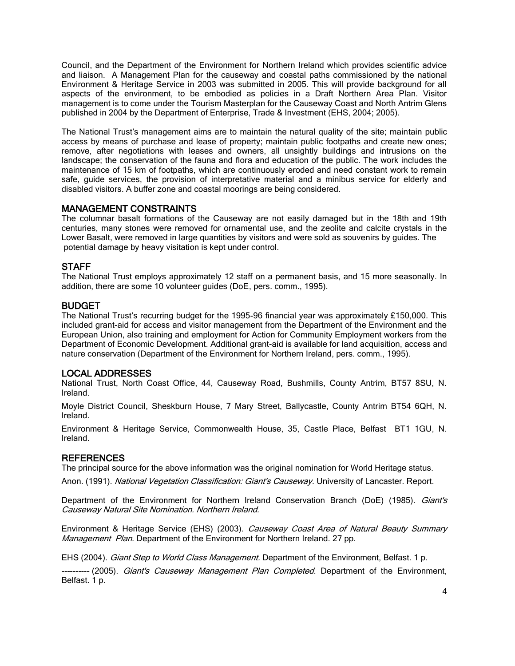Council, and the Department of the Environment for Northern Ireland which provides scientific advice and liaison. A Management Plan for the causeway and coastal paths commissioned by the national Environment & Heritage Service in 2003 was submitted in 2005. This will provide background for all aspects of the environment, to be embodied as policies in a Draft Northern Area Plan. Visitor management is to come under the Tourism Masterplan for the Causeway Coast and North Antrim Glens published in 2004 by the Department of Enterprise, Trade & Investment (EHS, 2004; 2005).

The National Trust's management aims are to maintain the natural quality of the site; maintain public access by means of purchase and lease of property; maintain public footpaths and create new ones; remove, after negotiations with leases and owners, all unsightly buildings and intrusions on the landscape; the conservation of the fauna and flora and education of the public. The work includes the maintenance of 15 km of footpaths, which are continuously eroded and need constant work to remain safe, guide services, the provision of interpretative material and a minibus service for elderly and disabled visitors. A buffer zone and coastal moorings are being considered.

# MANAGEMENT CONSTRAINTS

The columnar basalt formations of the Causeway are not easily damaged but in the 18th and 19th centuries, many stones were removed for ornamental use, and the zeolite and calcite crystals in the Lower Basalt, were removed in large quantities by visitors and were sold as souvenirs by guides. The potential damage by heavy visitation is kept under control.

# **STAFF**

The National Trust employs approximately 12 staff on a permanent basis, and 15 more seasonally. In addition, there are some 10 volunteer guides (DoE, pers. comm., 1995).

## BUDGET

The National Trust's recurring budget for the 1995-96 financial year was approximately £150,000. This included grant-aid for access and visitor management from the Department of the Environment and the European Union, also training and employment for Action for Community Employment workers from the Department of Economic Development. Additional grant-aid is available for land acquisition, access and nature conservation (Department of the Environment for Northern Ireland, pers. comm., 1995).

## LOCAL ADDRESSES

National Trust, North Coast Office, 44, Causeway Road, Bushmills, County Antrim, BT57 8SU, N. Ireland.

Moyle District Council, Sheskburn House, 7 Mary Street, Ballycastle, County Antrim BT54 6QH, N. Ireland.

Environment & Heritage Service, Commonwealth House, 35, Castle Place, Belfast BT1 1GU, N. Ireland.

## **REFERENCES**

The principal source for the above information was the original nomination for World Heritage status.

Anon. (1991). National Vegetation Classification: Giant's Causeway. University of Lancaster. Report.

Department of the Environment for Northern Ireland Conservation Branch (DoE) (1985). Giant's Causeway Natural Site Nomination. Northern Ireland.

Environment & Heritage Service (EHS) (2003). Causeway Coast Area of Natural Beauty Summary Management Plan. Department of the Environment for Northern Ireland. 27 pp.

EHS (2004). Giant Step to World Class Management. Department of the Environment, Belfast. 1 p.

---------- (2005). *Giant's Causeway Management Plan Completed*. Department of the Environment, Belfast. 1 p.